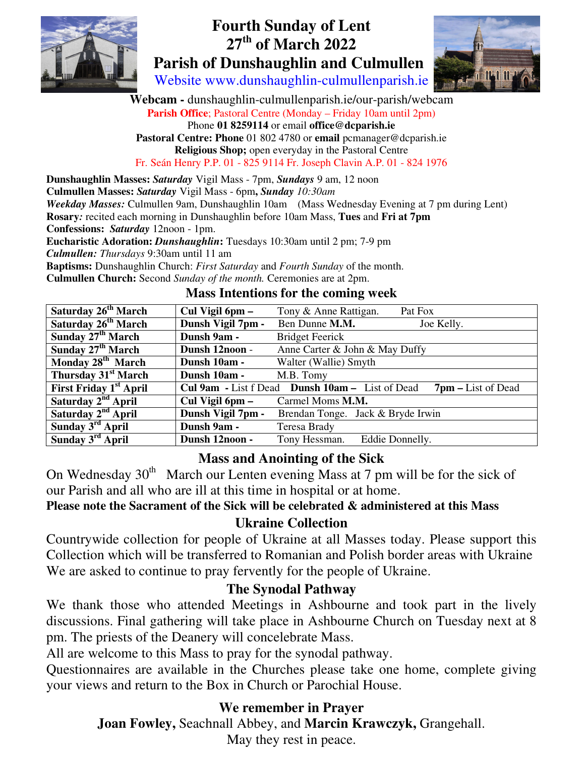

## **Fourth Sunday of Lent 27th of March 2022 Parish of Dunshaughlin and Culmullen**

 $\mathbb{R}$  matrix

Website www.dunshaughlin-culmullenparish.ie

**Webcam -** dunshaughlin-culmullenparish.ie/our-parish/webcam **Parish Office**; Pastoral Centre (Monday – Friday 10am until 2pm) Phone **01 8259114** or email **office@dcparish.ie Pastoral Centre: Phone** 01 802 4780 or **email** pcmanager@dcparish.ie **Religious Shop;** open everyday in the Pastoral Centre Fr. Seán Henry P.P. 01 - 825 9114 Fr. Joseph Clavin A.P. 01 - 824 1976

**Dunshaughlin Masses:** *Saturday* Vigil Mass - 7pm, *Sundays* 9 am, 12 noon **Culmullen Masses:** *Saturday* Vigil Mass - 6pm**,** *Sunday 10:30am Weekday Masses:* Culmullen 9am, Dunshaughlin 10am (Mass Wednesday Evening at 7 pm during Lent) **Rosary***:* recited each morning in Dunshaughlin before 10am Mass, **Tues** and **Fri at 7pm Confessions:** *Saturday* 12noon - 1pm. **Eucharistic Adoration:** *Dunshaughlin***:** Tuesdays 10:30am until 2 pm; 7-9 pm *Culmullen: Thursdays* 9:30am until 11 am **Baptisms:** Dunshaughlin Church: *First Saturday* and *Fourth Sunday* of the month. **Culmullen Church:** Second *Sunday of the month.* Ceremonies are at 2pm. **Mass Intentions for the coming week** 

| Saturday 26 <sup>th</sup> March | Cul Vigil 6pm –   | Tony & Anne Rattigan.<br>Pat Fox                                         |
|---------------------------------|-------------------|--------------------------------------------------------------------------|
| Saturday 26 <sup>th</sup> March | Dunsh Vigil 7pm - | Ben Dunne M.M.<br>Joe Kelly.                                             |
| Sunday 27 <sup>th</sup> March   | Dunsh 9am -       | <b>Bridget Feerick</b>                                                   |
| Sunday 27 <sup>th</sup> March   | Dunsh 12noon -    | Anne Carter & John & May Duffy                                           |
| Monday $28^{th}$ March          | Dunsh 10am -      | Walter (Wallie) Smyth                                                    |
| Thursday 31 <sup>st</sup> March | Dunsh 10am -      | M.B. Tomy                                                                |
| <b>First Friday 1st April</b>   |                   | Cul 9am - List f Dead Dunsh 10am - List of Dead<br>$7$ pm – List of Dead |
| Saturday 2 <sup>nd</sup> April  | Cul Vigil 6pm -   | Carmel Moms M.M.                                                         |
| Saturday 2 <sup>nd</sup> April  | Dunsh Vigil 7pm - | Brendan Tonge. Jack & Bryde Irwin                                        |
| Sunday $3rd$ April              | Dunsh 9am -       | Teresa Brady                                                             |
| Sunday $3rd$ April              | Dunsh 12noon -    | Tony Hessman.<br>Eddie Donnelly.                                         |

# **Mass and Anointing of the Sick**

On Wednesday  $30<sup>th</sup>$  March our Lenten evening Mass at 7 pm will be for the sick of our Parish and all who are ill at this time in hospital or at home.

**Please note the Sacrament of the Sick will be celebrated & administered at this Mass** 

#### **Ukraine Collection**

Countrywide collection for people of Ukraine at all Masses today. Please support this Collection which will be transferred to Romanian and Polish border areas with Ukraine We are asked to continue to pray fervently for the people of Ukraine.

#### **The Synodal Pathway**

We thank those who attended Meetings in Ashbourne and took part in the lively discussions. Final gathering will take place in Ashbourne Church on Tuesday next at 8 pm. The priests of the Deanery will concelebrate Mass.

All are welcome to this Mass to pray for the synodal pathway.

Questionnaires are available in the Churches please take one home, complete giving your views and return to the Box in Church or Parochial House.

#### **We remember in Prayer**

**Joan Fowley,** Seachnall Abbey, and **Marcin Krawczyk,** Grangehall.

May they rest in peace.